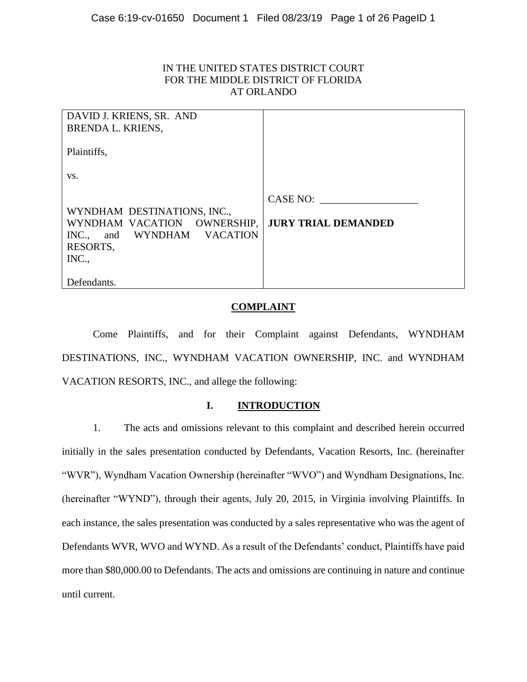## IN THE UNITED STATES DISTRICT COURT FOR THE MIDDLE DISTRICT OF FLORIDA AT ORLANDO

| DAVID J. KRIENS, SR. AND<br><b>BRENDA L. KRIENS,</b>                                                             |                                        |
|------------------------------------------------------------------------------------------------------------------|----------------------------------------|
| Plaintiffs,                                                                                                      |                                        |
| VS.                                                                                                              |                                        |
| WYNDHAM DESTINATIONS, INC.,<br>WYNDHAM VACATION OWNERSHIP,<br>and WYNDHAM VACATION<br>INC.,<br>RESORTS,<br>INC., | CASE NO:<br><b>JURY TRIAL DEMANDED</b> |
| Defendants.                                                                                                      |                                        |

## **COMPLAINT**

Come Plaintiffs, and for their Complaint against Defendants, WYNDHAM DESTINATIONS, INC., WYNDHAM VACATION OWNERSHIP, INC. and WYNDHAM VACATION RESORTS, INC., and allege the following:

### **I. INTRODUCTION**

1. The acts and omissions relevant to this complaint and described herein occurred initially in the sales presentation conducted by Defendants, Vacation Resorts, Inc. (hereinafter "WVR"), Wyndham Vacation Ownership (hereinafter "WVO") and Wyndham Designations, Inc. (hereinafter "WYND"), through their agents, July 20, 2015, in Virginia involving Plaintiffs. In each instance, the sales presentation was conducted by a sales representative who was the agent of Defendants WVR, WVO and WYND. As a result of the Defendants' conduct, Plaintiffs have paid more than \$80,000.00 to Defendants. The acts and omissions are continuing in nature and continue until current.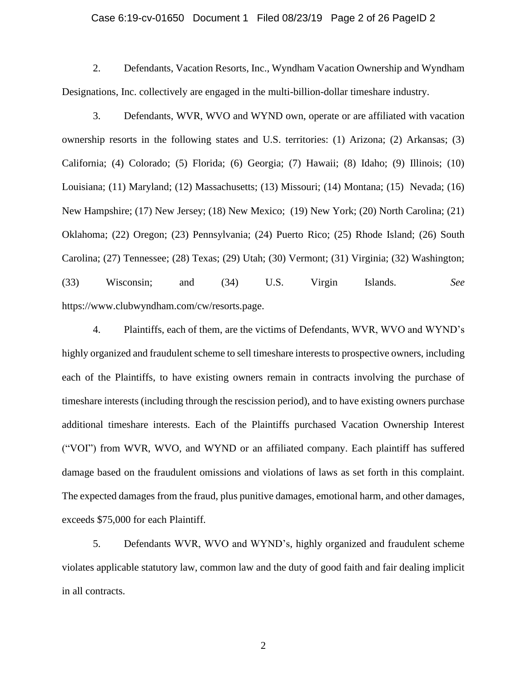#### Case 6:19-cv-01650 Document 1 Filed 08/23/19 Page 2 of 26 PageID 2

2. Defendants, Vacation Resorts, Inc., Wyndham Vacation Ownership and Wyndham Designations, Inc. collectively are engaged in the multi-billion-dollar timeshare industry.

3. Defendants, WVR, WVO and WYND own, operate or are affiliated with vacation ownership resorts in the following states and U.S. territories: (1) Arizona; (2) Arkansas; (3) California; (4) Colorado; (5) Florida; (6) Georgia; (7) Hawaii; (8) Idaho; (9) Illinois; (10) Louisiana; (11) Maryland; (12) Massachusetts; (13) Missouri; (14) Montana; (15) Nevada; (16) New Hampshire; (17) New Jersey; (18) New Mexico; (19) New York; (20) North Carolina; (21) Oklahoma; (22) Oregon; (23) Pennsylvania; (24) Puerto Rico; (25) Rhode Island; (26) South Carolina; (27) Tennessee; (28) Texas; (29) Utah; (30) Vermont; (31) Virginia; (32) Washington; (33) Wisconsin; and (34) U.S. Virgin Islands. *See* https://www.clubwyndham.com/cw/resorts.page.

4. Plaintiffs, each of them, are the victims of Defendants, WVR, WVO and WYND's highly organized and fraudulent scheme to sell timeshare interests to prospective owners, including each of the Plaintiffs, to have existing owners remain in contracts involving the purchase of timeshare interests (including through the rescission period), and to have existing owners purchase additional timeshare interests. Each of the Plaintiffs purchased Vacation Ownership Interest ("VOI") from WVR, WVO, and WYND or an affiliated company. Each plaintiff has suffered damage based on the fraudulent omissions and violations of laws as set forth in this complaint. The expected damages from the fraud, plus punitive damages, emotional harm, and other damages, exceeds \$75,000 for each Plaintiff.

5. Defendants WVR, WVO and WYND's, highly organized and fraudulent scheme violates applicable statutory law, common law and the duty of good faith and fair dealing implicit in all contracts.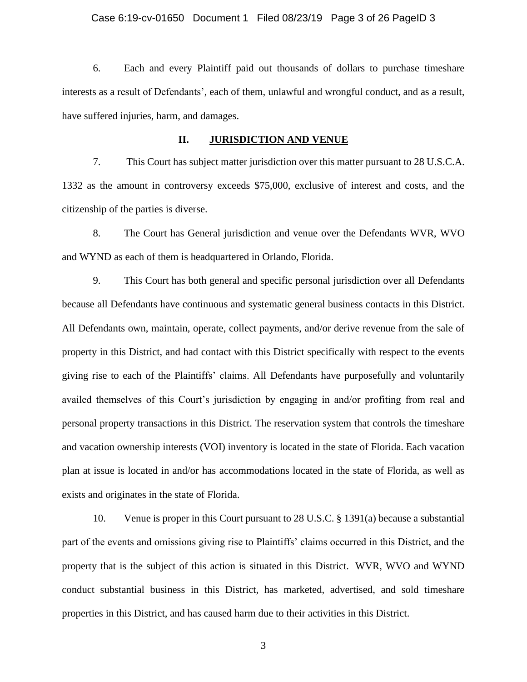#### Case 6:19-cv-01650 Document 1 Filed 08/23/19 Page 3 of 26 PageID 3

6. Each and every Plaintiff paid out thousands of dollars to purchase timeshare interests as a result of Defendants', each of them, unlawful and wrongful conduct, and as a result, have suffered injuries, harm, and damages.

#### **II. JURISDICTION AND VENUE**

7. This Court has subject matter jurisdiction over this matter pursuant to 28 U.S.C.A. 1332 as the amount in controversy exceeds \$75,000, exclusive of interest and costs, and the citizenship of the parties is diverse.

8. The Court has General jurisdiction and venue over the Defendants WVR, WVO and WYND as each of them is headquartered in Orlando, Florida.

9. This Court has both general and specific personal jurisdiction over all Defendants because all Defendants have continuous and systematic general business contacts in this District. All Defendants own, maintain, operate, collect payments, and/or derive revenue from the sale of property in this District, and had contact with this District specifically with respect to the events giving rise to each of the Plaintiffs' claims. All Defendants have purposefully and voluntarily availed themselves of this Court's jurisdiction by engaging in and/or profiting from real and personal property transactions in this District. The reservation system that controls the timeshare and vacation ownership interests (VOI) inventory is located in the state of Florida. Each vacation plan at issue is located in and/or has accommodations located in the state of Florida, as well as exists and originates in the state of Florida.

10. Venue is proper in this Court pursuant to 28 U.S.C. § 1391(a) because a substantial part of the events and omissions giving rise to Plaintiffs' claims occurred in this District, and the property that is the subject of this action is situated in this District. WVR, WVO and WYND conduct substantial business in this District, has marketed, advertised, and sold timeshare properties in this District, and has caused harm due to their activities in this District.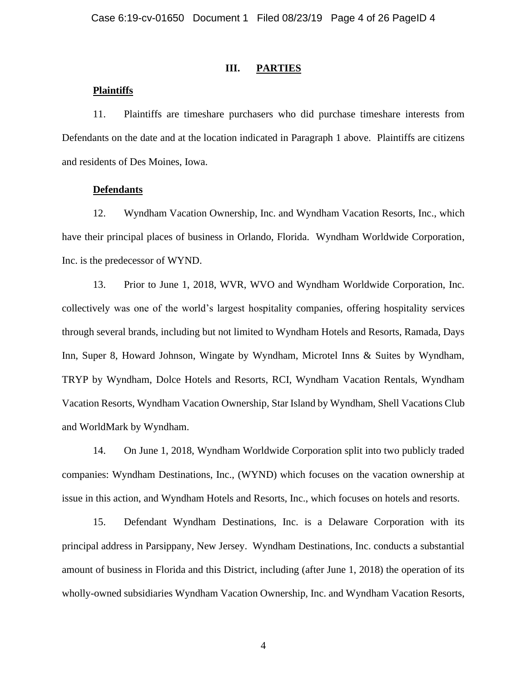#### **III. PARTIES**

#### **Plaintiffs**

11. Plaintiffs are timeshare purchasers who did purchase timeshare interests from Defendants on the date and at the location indicated in Paragraph 1 above. Plaintiffs are citizens and residents of Des Moines, Iowa.

## **Defendants**

12. Wyndham Vacation Ownership, Inc. and Wyndham Vacation Resorts, Inc., which have their principal places of business in Orlando, Florida. Wyndham Worldwide Corporation, Inc. is the predecessor of WYND.

13. Prior to June 1, 2018, WVR, WVO and Wyndham Worldwide Corporation, Inc. collectively was one of the world's largest hospitality companies, offering hospitality services through several brands, including but not limited to Wyndham Hotels and Resorts, Ramada, Days Inn, Super 8, Howard Johnson, Wingate by Wyndham, Microtel Inns & Suites by Wyndham, TRYP by Wyndham, Dolce Hotels and Resorts, RCI, Wyndham Vacation Rentals, Wyndham Vacation Resorts, Wyndham Vacation Ownership, Star Island by Wyndham, Shell Vacations Club and WorldMark by Wyndham.

14. On June 1, 2018, Wyndham Worldwide Corporation split into two publicly traded companies: Wyndham Destinations, Inc., (WYND) which focuses on the vacation ownership at issue in this action, and Wyndham Hotels and Resorts, Inc., which focuses on hotels and resorts.

15. Defendant Wyndham Destinations, Inc. is a Delaware Corporation with its principal address in Parsippany, New Jersey. Wyndham Destinations, Inc. conducts a substantial amount of business in Florida and this District, including (after June 1, 2018) the operation of its wholly-owned subsidiaries Wyndham Vacation Ownership, Inc. and Wyndham Vacation Resorts,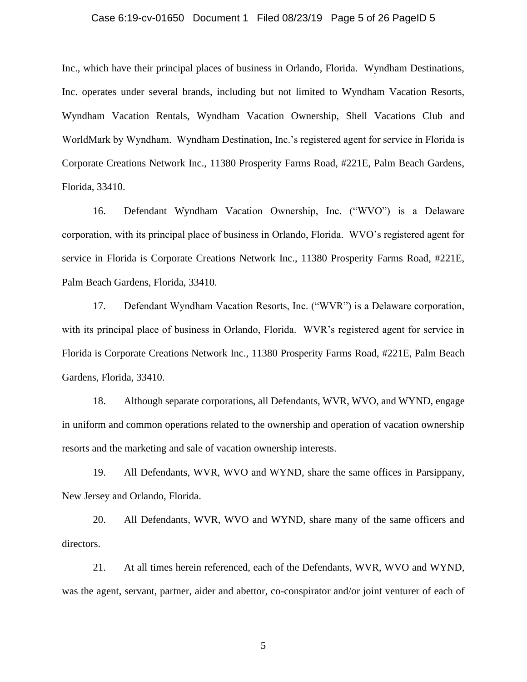#### Case 6:19-cv-01650 Document 1 Filed 08/23/19 Page 5 of 26 PageID 5

Inc., which have their principal places of business in Orlando, Florida. Wyndham Destinations, Inc. operates under several brands, including but not limited to Wyndham Vacation Resorts, Wyndham Vacation Rentals, Wyndham Vacation Ownership, Shell Vacations Club and WorldMark by Wyndham. Wyndham Destination, Inc.'s registered agent for service in Florida is Corporate Creations Network Inc., 11380 Prosperity Farms Road, #221E, Palm Beach Gardens, Florida, 33410.

16. Defendant Wyndham Vacation Ownership, Inc. ("WVO") is a Delaware corporation, with its principal place of business in Orlando, Florida. WVO's registered agent for service in Florida is Corporate Creations Network Inc., 11380 Prosperity Farms Road, #221E, Palm Beach Gardens, Florida, 33410.

17. Defendant Wyndham Vacation Resorts, Inc. ("WVR") is a Delaware corporation, with its principal place of business in Orlando, Florida. WVR's registered agent for service in Florida is Corporate Creations Network Inc., 11380 Prosperity Farms Road, #221E, Palm Beach Gardens, Florida, 33410.

18. Although separate corporations, all Defendants, WVR, WVO, and WYND, engage in uniform and common operations related to the ownership and operation of vacation ownership resorts and the marketing and sale of vacation ownership interests.

19. All Defendants, WVR, WVO and WYND, share the same offices in Parsippany, New Jersey and Orlando, Florida.

20. All Defendants, WVR, WVO and WYND, share many of the same officers and directors.

21. At all times herein referenced, each of the Defendants, WVR, WVO and WYND, was the agent, servant, partner, aider and abettor, co-conspirator and/or joint venturer of each of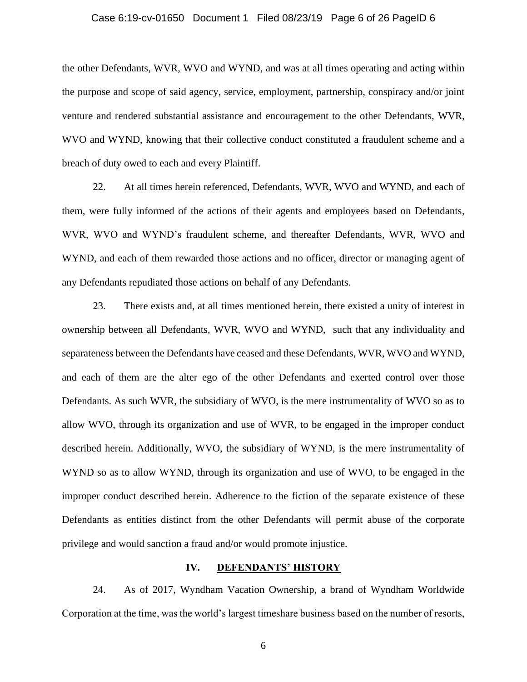#### Case 6:19-cv-01650 Document 1 Filed 08/23/19 Page 6 of 26 PageID 6

the other Defendants, WVR, WVO and WYND, and was at all times operating and acting within the purpose and scope of said agency, service, employment, partnership, conspiracy and/or joint venture and rendered substantial assistance and encouragement to the other Defendants, WVR, WVO and WYND, knowing that their collective conduct constituted a fraudulent scheme and a breach of duty owed to each and every Plaintiff.

22. At all times herein referenced, Defendants, WVR, WVO and WYND, and each of them, were fully informed of the actions of their agents and employees based on Defendants, WVR, WVO and WYND's fraudulent scheme, and thereafter Defendants, WVR, WVO and WYND, and each of them rewarded those actions and no officer, director or managing agent of any Defendants repudiated those actions on behalf of any Defendants.

23. There exists and, at all times mentioned herein, there existed a unity of interest in ownership between all Defendants, WVR, WVO and WYND, such that any individuality and separateness between the Defendants have ceased and these Defendants, WVR, WVO and WYND, and each of them are the alter ego of the other Defendants and exerted control over those Defendants. As such WVR, the subsidiary of WVO, is the mere instrumentality of WVO so as to allow WVO, through its organization and use of WVR, to be engaged in the improper conduct described herein. Additionally, WVO, the subsidiary of WYND, is the mere instrumentality of WYND so as to allow WYND, through its organization and use of WVO, to be engaged in the improper conduct described herein. Adherence to the fiction of the separate existence of these Defendants as entities distinct from the other Defendants will permit abuse of the corporate privilege and would sanction a fraud and/or would promote injustice.

### **IV. DEFENDANTS' HISTORY**

24. As of 2017, Wyndham Vacation Ownership, a brand of Wyndham Worldwide Corporation at the time, was the world's largest timeshare business based on the number of resorts,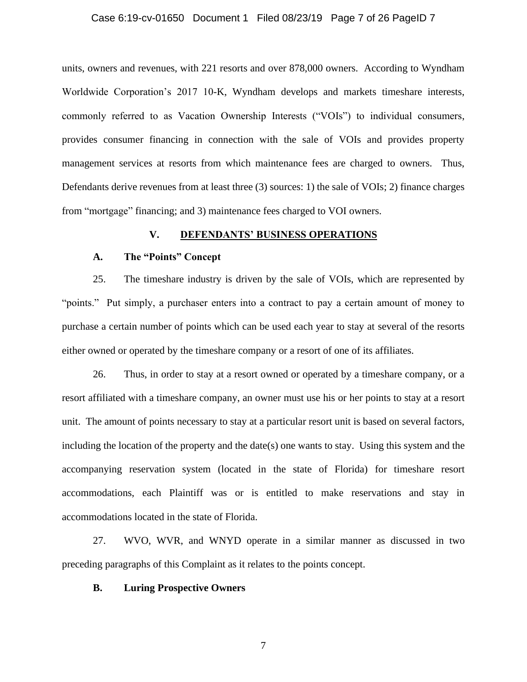#### Case 6:19-cv-01650 Document 1 Filed 08/23/19 Page 7 of 26 PageID 7

units, owners and revenues, with 221 resorts and over 878,000 owners. According to Wyndham Worldwide Corporation's 2017 10-K, Wyndham develops and markets timeshare interests, commonly referred to as Vacation Ownership Interests ("VOIs") to individual consumers, provides consumer financing in connection with the sale of VOIs and provides property management services at resorts from which maintenance fees are charged to owners. Thus, Defendants derive revenues from at least three (3) sources: 1) the sale of VOIs; 2) finance charges from "mortgage" financing; and 3) maintenance fees charged to VOI owners.

#### **V. DEFENDANTS' BUSINESS OPERATIONS**

## **A. The "Points" Concept**

25. The timeshare industry is driven by the sale of VOIs, which are represented by "points." Put simply, a purchaser enters into a contract to pay a certain amount of money to purchase a certain number of points which can be used each year to stay at several of the resorts either owned or operated by the timeshare company or a resort of one of its affiliates.

26. Thus, in order to stay at a resort owned or operated by a timeshare company, or a resort affiliated with a timeshare company, an owner must use his or her points to stay at a resort unit. The amount of points necessary to stay at a particular resort unit is based on several factors, including the location of the property and the date(s) one wants to stay. Using this system and the accompanying reservation system (located in the state of Florida) for timeshare resort accommodations, each Plaintiff was or is entitled to make reservations and stay in accommodations located in the state of Florida.

27. WVO, WVR, and WNYD operate in a similar manner as discussed in two preceding paragraphs of this Complaint as it relates to the points concept.

## **B. Luring Prospective Owners**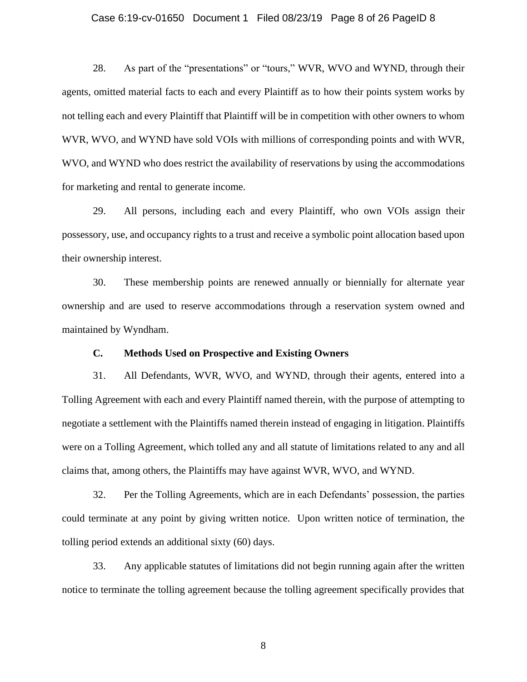#### Case 6:19-cv-01650 Document 1 Filed 08/23/19 Page 8 of 26 PageID 8

28. As part of the "presentations" or "tours," WVR, WVO and WYND, through their agents, omitted material facts to each and every Plaintiff as to how their points system works by not telling each and every Plaintiff that Plaintiff will be in competition with other owners to whom WVR, WVO, and WYND have sold VOIs with millions of corresponding points and with WVR, WVO, and WYND who does restrict the availability of reservations by using the accommodations for marketing and rental to generate income.

29. All persons, including each and every Plaintiff, who own VOIs assign their possessory, use, and occupancy rights to a trust and receive a symbolic point allocation based upon their ownership interest.

30. These membership points are renewed annually or biennially for alternate year ownership and are used to reserve accommodations through a reservation system owned and maintained by Wyndham.

## **C. Methods Used on Prospective and Existing Owners**

31. All Defendants, WVR, WVO, and WYND, through their agents, entered into a Tolling Agreement with each and every Plaintiff named therein, with the purpose of attempting to negotiate a settlement with the Plaintiffs named therein instead of engaging in litigation. Plaintiffs were on a Tolling Agreement, which tolled any and all statute of limitations related to any and all claims that, among others, the Plaintiffs may have against WVR, WVO, and WYND.

32. Per the Tolling Agreements, which are in each Defendants' possession, the parties could terminate at any point by giving written notice. Upon written notice of termination, the tolling period extends an additional sixty (60) days.

33. Any applicable statutes of limitations did not begin running again after the written notice to terminate the tolling agreement because the tolling agreement specifically provides that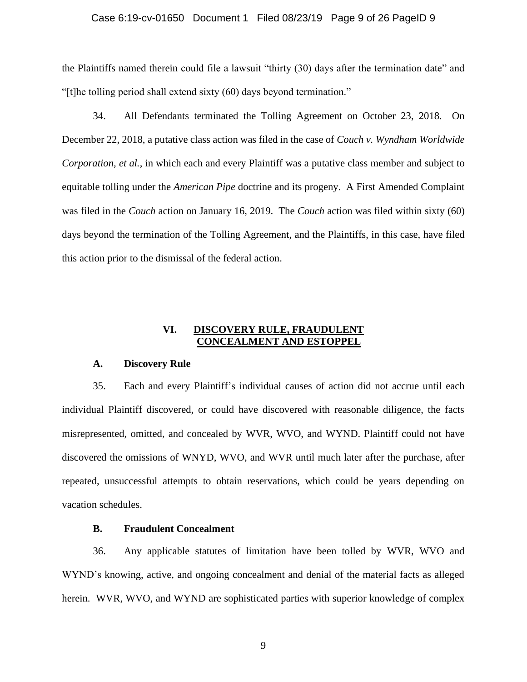#### Case 6:19-cv-01650 Document 1 Filed 08/23/19 Page 9 of 26 PageID 9

the Plaintiffs named therein could file a lawsuit "thirty (30) days after the termination date" and "[t]he tolling period shall extend sixty (60) days beyond termination."

34. All Defendants terminated the Tolling Agreement on October 23, 2018. On December 22, 2018, a putative class action was filed in the case of *Couch v. Wyndham Worldwide Corporation, et al.*, in which each and every Plaintiff was a putative class member and subject to equitable tolling under the *American Pipe* doctrine and its progeny. A First Amended Complaint was filed in the *Couch* action on January 16, 2019. The *Couch* action was filed within sixty (60) days beyond the termination of the Tolling Agreement, and the Plaintiffs, in this case, have filed this action prior to the dismissal of the federal action.

## **VI. DISCOVERY RULE, FRAUDULENT CONCEALMENT AND ESTOPPEL**

#### **A. Discovery Rule**

35. Each and every Plaintiff's individual causes of action did not accrue until each individual Plaintiff discovered, or could have discovered with reasonable diligence, the facts misrepresented, omitted, and concealed by WVR, WVO, and WYND. Plaintiff could not have discovered the omissions of WNYD, WVO, and WVR until much later after the purchase, after repeated, unsuccessful attempts to obtain reservations, which could be years depending on vacation schedules.

## **B. Fraudulent Concealment**

36. Any applicable statutes of limitation have been tolled by WVR, WVO and WYND's knowing, active, and ongoing concealment and denial of the material facts as alleged herein. WVR, WVO, and WYND are sophisticated parties with superior knowledge of complex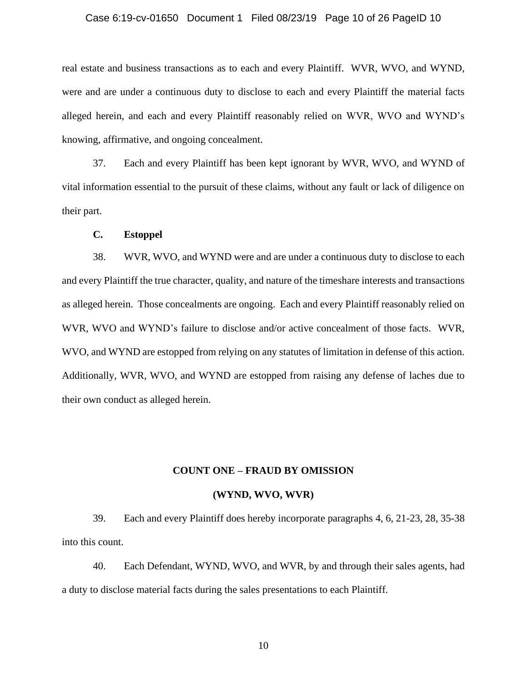#### Case 6:19-cv-01650 Document 1 Filed 08/23/19 Page 10 of 26 PageID 10

real estate and business transactions as to each and every Plaintiff. WVR, WVO, and WYND, were and are under a continuous duty to disclose to each and every Plaintiff the material facts alleged herein, and each and every Plaintiff reasonably relied on WVR, WVO and WYND's knowing, affirmative, and ongoing concealment.

37. Each and every Plaintiff has been kept ignorant by WVR, WVO, and WYND of vital information essential to the pursuit of these claims, without any fault or lack of diligence on their part.

#### **C. Estoppel**

38. WVR, WVO, and WYND were and are under a continuous duty to disclose to each and every Plaintiff the true character, quality, and nature of the timeshare interests and transactions as alleged herein. Those concealments are ongoing. Each and every Plaintiff reasonably relied on WVR, WVO and WYND's failure to disclose and/or active concealment of those facts. WVR, WVO, and WYND are estopped from relying on any statutes of limitation in defense of this action. Additionally, WVR, WVO, and WYND are estopped from raising any defense of laches due to their own conduct as alleged herein.

#### **COUNT ONE – FRAUD BY OMISSION**

## **(WYND, WVO, WVR)**

39. Each and every Plaintiff does hereby incorporate paragraphs 4, 6, 21-23, 28, 35-38 into this count.

40. Each Defendant, WYND, WVO, and WVR, by and through their sales agents, had a duty to disclose material facts during the sales presentations to each Plaintiff.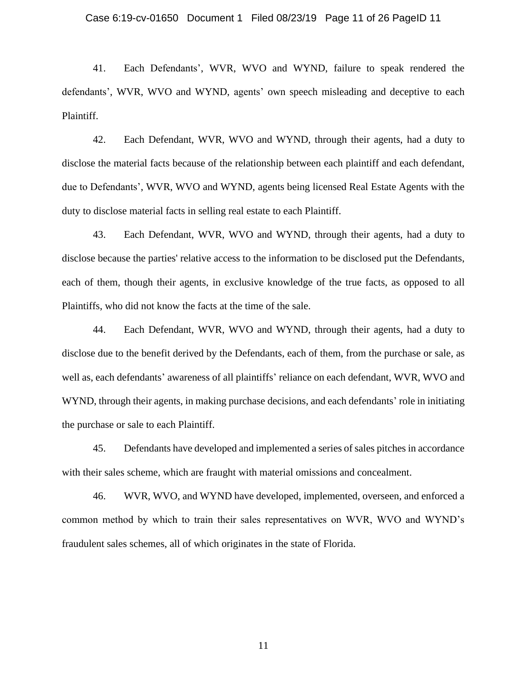41. Each Defendants', WVR, WVO and WYND, failure to speak rendered the defendants', WVR, WVO and WYND, agents' own speech misleading and deceptive to each Plaintiff.

42. Each Defendant, WVR, WVO and WYND, through their agents, had a duty to disclose the material facts because of the relationship between each plaintiff and each defendant, due to Defendants', WVR, WVO and WYND, agents being licensed Real Estate Agents with the duty to disclose material facts in selling real estate to each Plaintiff.

43. Each Defendant, WVR, WVO and WYND, through their agents, had a duty to disclose because the parties' relative access to the information to be disclosed put the Defendants, each of them, though their agents, in exclusive knowledge of the true facts, as opposed to all Plaintiffs, who did not know the facts at the time of the sale.

44. Each Defendant, WVR, WVO and WYND, through their agents, had a duty to disclose due to the benefit derived by the Defendants, each of them, from the purchase or sale, as well as, each defendants' awareness of all plaintiffs' reliance on each defendant, WVR, WVO and WYND, through their agents, in making purchase decisions, and each defendants' role in initiating the purchase or sale to each Plaintiff.

45. Defendants have developed and implemented a series of sales pitches in accordance with their sales scheme, which are fraught with material omissions and concealment.

46. WVR, WVO, and WYND have developed, implemented, overseen, and enforced a common method by which to train their sales representatives on WVR, WVO and WYND's fraudulent sales schemes, all of which originates in the state of Florida.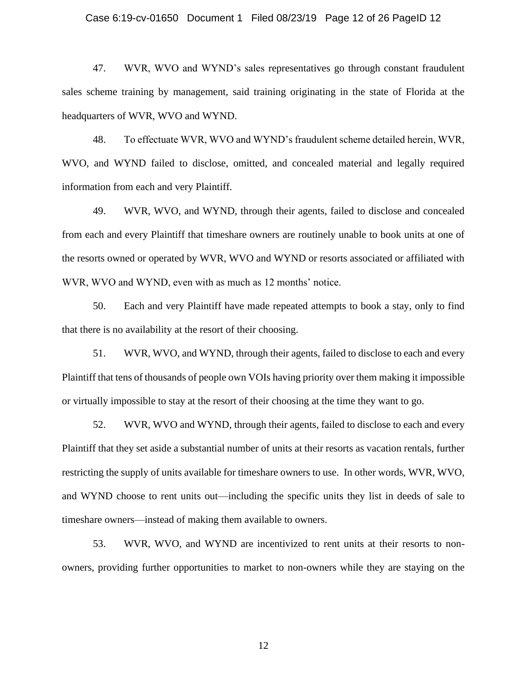#### Case 6:19-cv-01650 Document 1 Filed 08/23/19 Page 12 of 26 PageID 12

47. WVR, WVO and WYND's sales representatives go through constant fraudulent sales scheme training by management, said training originating in the state of Florida at the headquarters of WVR, WVO and WYND.

48. To effectuate WVR, WVO and WYND's fraudulent scheme detailed herein, WVR, WVO, and WYND failed to disclose, omitted, and concealed material and legally required information from each and very Plaintiff.

49. WVR, WVO, and WYND, through their agents, failed to disclose and concealed from each and every Plaintiff that timeshare owners are routinely unable to book units at one of the resorts owned or operated by WVR, WVO and WYND or resorts associated or affiliated with WVR, WVO and WYND, even with as much as 12 months' notice.

50. Each and very Plaintiff have made repeated attempts to book a stay, only to find that there is no availability at the resort of their choosing.

51. WVR, WVO, and WYND, through their agents, failed to disclose to each and every Plaintiff that tens of thousands of people own VOIs having priority over them making it impossible or virtually impossible to stay at the resort of their choosing at the time they want to go.

52. WVR, WVO and WYND, through their agents, failed to disclose to each and every Plaintiff that they set aside a substantial number of units at their resorts as vacation rentals, further restricting the supply of units available for timeshare owners to use. In other words, WVR, WVO, and WYND choose to rent units out—including the specific units they list in deeds of sale to timeshare owners—instead of making them available to owners.

53. WVR, WVO, and WYND are incentivized to rent units at their resorts to nonowners, providing further opportunities to market to non-owners while they are staying on the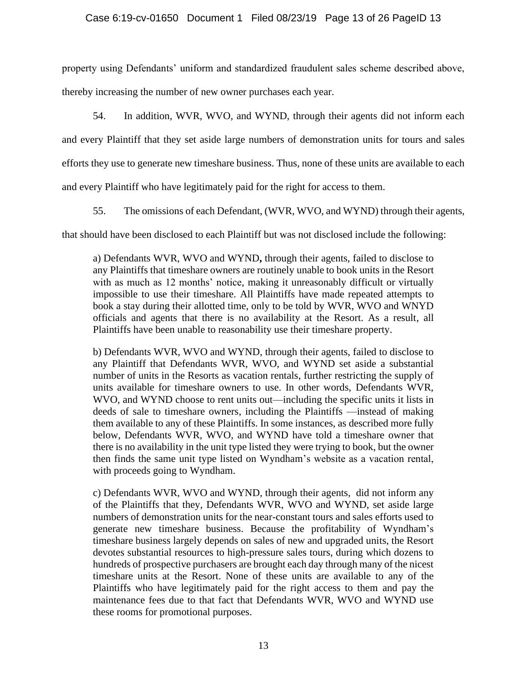property using Defendants' uniform and standardized fraudulent sales scheme described above,

thereby increasing the number of new owner purchases each year.

54. In addition, WVR, WVO, and WYND, through their agents did not inform each and every Plaintiff that they set aside large numbers of demonstration units for tours and sales

efforts they use to generate new timeshare business. Thus, none of these units are available to each

and every Plaintiff who have legitimately paid for the right for access to them.

55. The omissions of each Defendant, (WVR, WVO, and WYND) through their agents,

that should have been disclosed to each Plaintiff but was not disclosed include the following:

a) Defendants WVR, WVO and WYND**,** through their agents, failed to disclose to any Plaintiffs that timeshare owners are routinely unable to book units in the Resort with as much as 12 months' notice, making it unreasonably difficult or virtually impossible to use their timeshare. All Plaintiffs have made repeated attempts to book a stay during their allotted time, only to be told by WVR, WVO and WNYD officials and agents that there is no availability at the Resort. As a result, all Plaintiffs have been unable to reasonability use their timeshare property.

b) Defendants WVR, WVO and WYND, through their agents, failed to disclose to any Plaintiff that Defendants WVR, WVO, and WYND set aside a substantial number of units in the Resorts as vacation rentals, further restricting the supply of units available for timeshare owners to use. In other words, Defendants WVR, WVO, and WYND choose to rent units out—including the specific units it lists in deeds of sale to timeshare owners, including the Plaintiffs —instead of making them available to any of these Plaintiffs. In some instances, as described more fully below, Defendants WVR, WVO, and WYND have told a timeshare owner that there is no availability in the unit type listed they were trying to book, but the owner then finds the same unit type listed on Wyndham's website as a vacation rental, with proceeds going to Wyndham.

c) Defendants WVR, WVO and WYND, through their agents, did not inform any of the Plaintiffs that they, Defendants WVR, WVO and WYND, set aside large numbers of demonstration units for the near-constant tours and sales efforts used to generate new timeshare business. Because the profitability of Wyndham's timeshare business largely depends on sales of new and upgraded units, the Resort devotes substantial resources to high-pressure sales tours, during which dozens to hundreds of prospective purchasers are brought each day through many of the nicest timeshare units at the Resort. None of these units are available to any of the Plaintiffs who have legitimately paid for the right access to them and pay the maintenance fees due to that fact that Defendants WVR, WVO and WYND use these rooms for promotional purposes.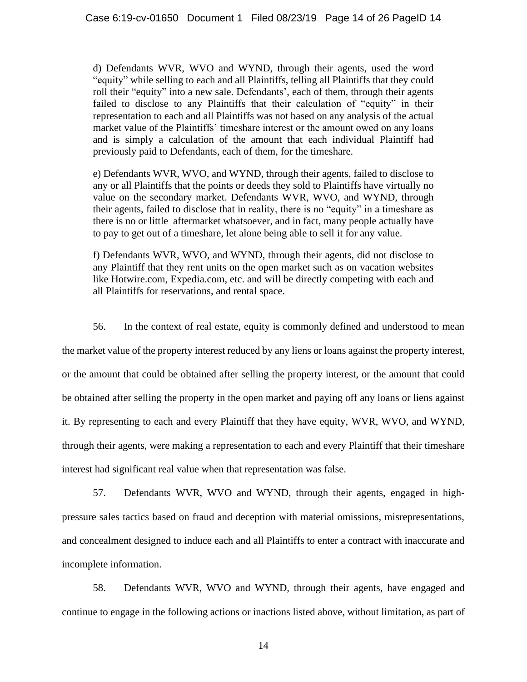d) Defendants WVR, WVO and WYND, through their agents, used the word "equity" while selling to each and all Plaintiffs, telling all Plaintiffs that they could roll their "equity" into a new sale. Defendants', each of them, through their agents failed to disclose to any Plaintiffs that their calculation of "equity" in their representation to each and all Plaintiffs was not based on any analysis of the actual market value of the Plaintiffs' timeshare interest or the amount owed on any loans and is simply a calculation of the amount that each individual Plaintiff had previously paid to Defendants, each of them, for the timeshare.

e) Defendants WVR, WVO, and WYND, through their agents, failed to disclose to any or all Plaintiffs that the points or deeds they sold to Plaintiffs have virtually no value on the secondary market. Defendants WVR, WVO, and WYND, through their agents, failed to disclose that in reality, there is no "equity" in a timeshare as there is no or little aftermarket whatsoever, and in fact, many people actually have to pay to get out of a timeshare, let alone being able to sell it for any value.

f) Defendants WVR, WVO, and WYND, through their agents, did not disclose to any Plaintiff that they rent units on the open market such as on vacation websites like Hotwire.com, Expedia.com, etc. and will be directly competing with each and all Plaintiffs for reservations, and rental space.

56. In the context of real estate, equity is commonly defined and understood to mean the market value of the property interest reduced by any liens or loans against the property interest, or the amount that could be obtained after selling the property interest, or the amount that could be obtained after selling the property in the open market and paying off any loans or liens against it. By representing to each and every Plaintiff that they have equity, WVR, WVO, and WYND, through their agents, were making a representation to each and every Plaintiff that their timeshare interest had significant real value when that representation was false.

57. Defendants WVR, WVO and WYND, through their agents, engaged in highpressure sales tactics based on fraud and deception with material omissions, misrepresentations, and concealment designed to induce each and all Plaintiffs to enter a contract with inaccurate and incomplete information.

58. Defendants WVR, WVO and WYND, through their agents, have engaged and continue to engage in the following actions or inactions listed above, without limitation, as part of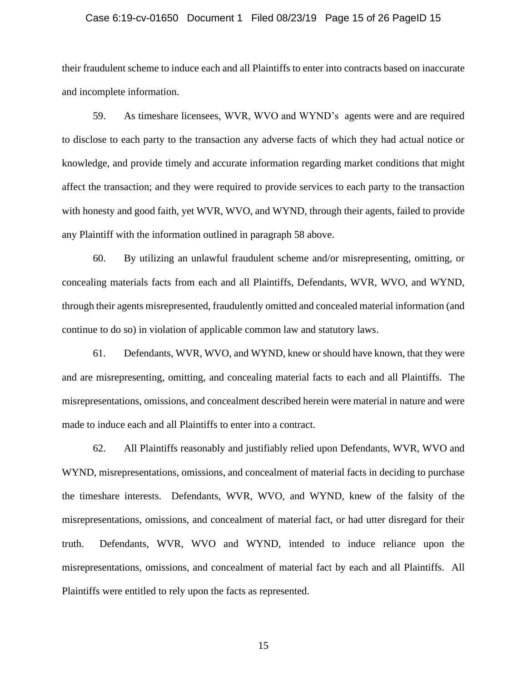#### Case 6:19-cv-01650 Document 1 Filed 08/23/19 Page 15 of 26 PageID 15

their fraudulent scheme to induce each and all Plaintiffs to enter into contracts based on inaccurate and incomplete information.

59. As timeshare licensees, WVR, WVO and WYND's agents were and are required to disclose to each party to the transaction any adverse facts of which they had actual notice or knowledge, and provide timely and accurate information regarding market conditions that might affect the transaction; and they were required to provide services to each party to the transaction with honesty and good faith, yet WVR, WVO, and WYND, through their agents, failed to provide any Plaintiff with the information outlined in paragraph 58 above.

60. By utilizing an unlawful fraudulent scheme and/or misrepresenting, omitting, or concealing materials facts from each and all Plaintiffs, Defendants, WVR, WVO, and WYND, through their agents misrepresented, fraudulently omitted and concealed material information (and continue to do so) in violation of applicable common law and statutory laws.

61. Defendants, WVR, WVO, and WYND, knew or should have known, that they were and are misrepresenting, omitting, and concealing material facts to each and all Plaintiffs. The misrepresentations, omissions, and concealment described herein were material in nature and were made to induce each and all Plaintiffs to enter into a contract.

62. All Plaintiffs reasonably and justifiably relied upon Defendants, WVR, WVO and WYND, misrepresentations, omissions, and concealment of material facts in deciding to purchase the timeshare interests. Defendants, WVR, WVO, and WYND, knew of the falsity of the misrepresentations, omissions, and concealment of material fact, or had utter disregard for their truth. Defendants, WVR, WVO and WYND, intended to induce reliance upon the misrepresentations, omissions, and concealment of material fact by each and all Plaintiffs. All Plaintiffs were entitled to rely upon the facts as represented.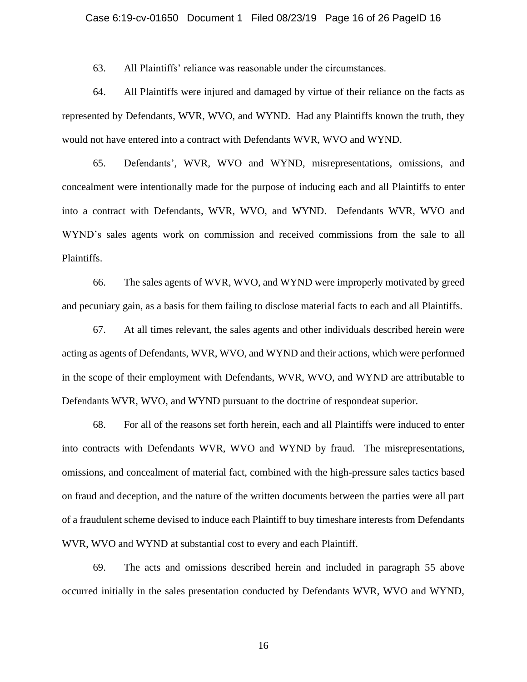63. All Plaintiffs' reliance was reasonable under the circumstances.

64. All Plaintiffs were injured and damaged by virtue of their reliance on the facts as represented by Defendants, WVR, WVO, and WYND. Had any Plaintiffs known the truth, they would not have entered into a contract with Defendants WVR, WVO and WYND.

65. Defendants', WVR, WVO and WYND, misrepresentations, omissions, and concealment were intentionally made for the purpose of inducing each and all Plaintiffs to enter into a contract with Defendants, WVR, WVO, and WYND. Defendants WVR, WVO and WYND's sales agents work on commission and received commissions from the sale to all Plaintiffs.

66. The sales agents of WVR, WVO, and WYND were improperly motivated by greed and pecuniary gain, as a basis for them failing to disclose material facts to each and all Plaintiffs.

67. At all times relevant, the sales agents and other individuals described herein were acting as agents of Defendants, WVR, WVO, and WYND and their actions, which were performed in the scope of their employment with Defendants, WVR, WVO, and WYND are attributable to Defendants WVR, WVO, and WYND pursuant to the doctrine of respondeat superior.

68. For all of the reasons set forth herein, each and all Plaintiffs were induced to enter into contracts with Defendants WVR, WVO and WYND by fraud. The misrepresentations, omissions, and concealment of material fact, combined with the high-pressure sales tactics based on fraud and deception, and the nature of the written documents between the parties were all part of a fraudulent scheme devised to induce each Plaintiff to buy timeshare interests from Defendants WVR, WVO and WYND at substantial cost to every and each Plaintiff.

69. The acts and omissions described herein and included in paragraph 55 above occurred initially in the sales presentation conducted by Defendants WVR, WVO and WYND,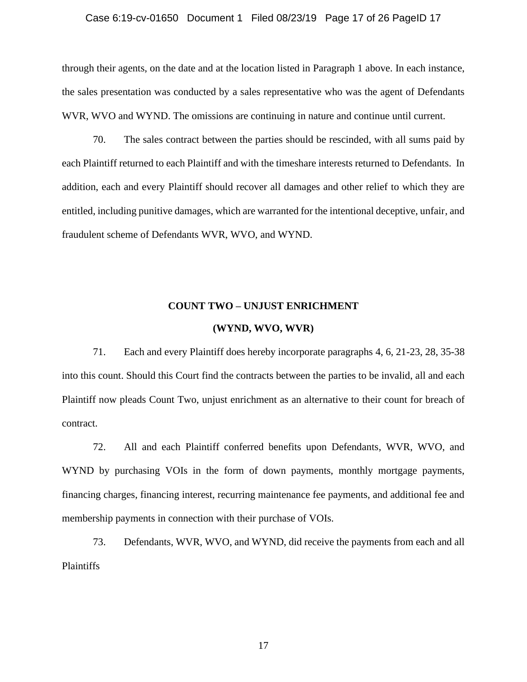#### Case 6:19-cv-01650 Document 1 Filed 08/23/19 Page 17 of 26 PageID 17

through their agents, on the date and at the location listed in Paragraph 1 above. In each instance, the sales presentation was conducted by a sales representative who was the agent of Defendants WVR, WVO and WYND. The omissions are continuing in nature and continue until current.

70. The sales contract between the parties should be rescinded, with all sums paid by each Plaintiff returned to each Plaintiff and with the timeshare interests returned to Defendants. In addition, each and every Plaintiff should recover all damages and other relief to which they are entitled, including punitive damages, which are warranted for the intentional deceptive, unfair, and fraudulent scheme of Defendants WVR, WVO, and WYND.

## **COUNT TWO – UNJUST ENRICHMENT**

#### **(WYND, WVO, WVR)**

71. Each and every Plaintiff does hereby incorporate paragraphs 4, 6, 21-23, 28, 35-38 into this count. Should this Court find the contracts between the parties to be invalid, all and each Plaintiff now pleads Count Two, unjust enrichment as an alternative to their count for breach of contract.

72. All and each Plaintiff conferred benefits upon Defendants, WVR, WVO, and WYND by purchasing VOIs in the form of down payments, monthly mortgage payments, financing charges, financing interest, recurring maintenance fee payments, and additional fee and membership payments in connection with their purchase of VOIs.

73. Defendants, WVR, WVO, and WYND, did receive the payments from each and all Plaintiffs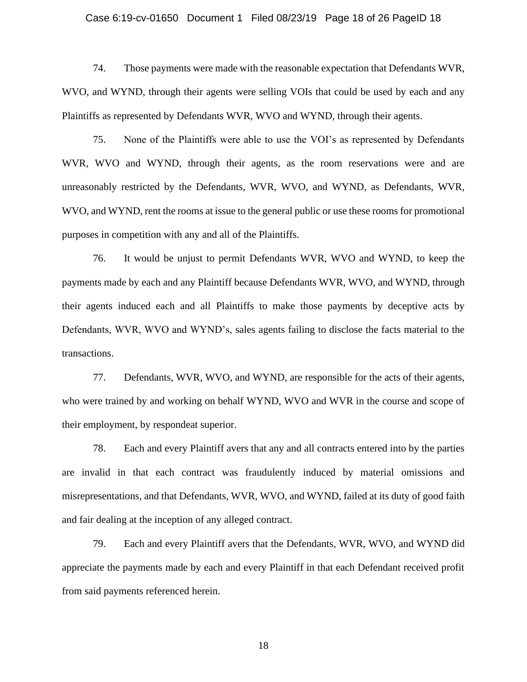#### Case 6:19-cv-01650 Document 1 Filed 08/23/19 Page 18 of 26 PageID 18

74. Those payments were made with the reasonable expectation that Defendants WVR, WVO, and WYND, through their agents were selling VOIs that could be used by each and any Plaintiffs as represented by Defendants WVR, WVO and WYND, through their agents.

75. None of the Plaintiffs were able to use the VOI's as represented by Defendants WVR, WVO and WYND, through their agents, as the room reservations were and are unreasonably restricted by the Defendants, WVR, WVO, and WYND, as Defendants, WVR, WVO, and WYND, rent the rooms at issue to the general public or use these rooms for promotional purposes in competition with any and all of the Plaintiffs.

76. It would be unjust to permit Defendants WVR, WVO and WYND, to keep the payments made by each and any Plaintiff because Defendants WVR, WVO, and WYND, through their agents induced each and all Plaintiffs to make those payments by deceptive acts by Defendants, WVR, WVO and WYND's, sales agents failing to disclose the facts material to the transactions.

77. Defendants, WVR, WVO, and WYND, are responsible for the acts of their agents, who were trained by and working on behalf WYND, WVO and WVR in the course and scope of their employment, by respondeat superior.

78. Each and every Plaintiff avers that any and all contracts entered into by the parties are invalid in that each contract was fraudulently induced by material omissions and misrepresentations, and that Defendants, WVR, WVO, and WYND, failed at its duty of good faith and fair dealing at the inception of any alleged contract.

79. Each and every Plaintiff avers that the Defendants, WVR, WVO, and WYND did appreciate the payments made by each and every Plaintiff in that each Defendant received profit from said payments referenced herein.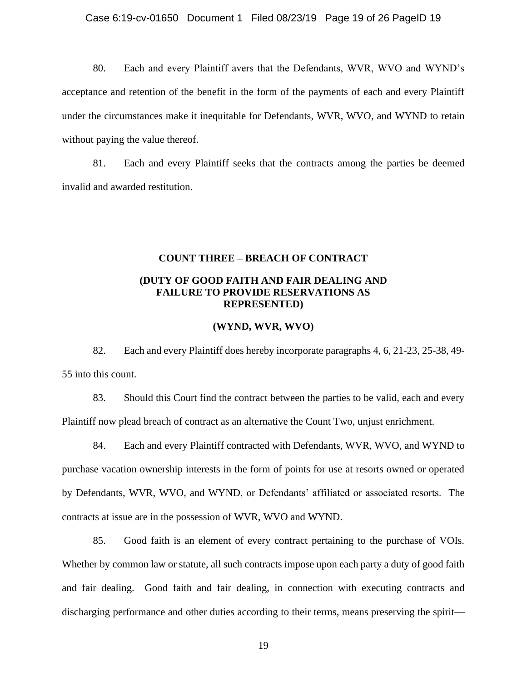80. Each and every Plaintiff avers that the Defendants, WVR, WVO and WYND's acceptance and retention of the benefit in the form of the payments of each and every Plaintiff under the circumstances make it inequitable for Defendants, WVR, WVO, and WYND to retain without paying the value thereof.

81. Each and every Plaintiff seeks that the contracts among the parties be deemed invalid and awarded restitution.

# **COUNT THREE – BREACH OF CONTRACT**

## **(DUTY OF GOOD FAITH AND FAIR DEALING AND FAILURE TO PROVIDE RESERVATIONS AS REPRESENTED)**

## **(WYND, WVR, WVO)**

82. Each and every Plaintiff does hereby incorporate paragraphs 4, 6, 21-23, 25-38, 49- 55 into this count.

83. Should this Court find the contract between the parties to be valid, each and every Plaintiff now plead breach of contract as an alternative the Count Two, unjust enrichment.

84. Each and every Plaintiff contracted with Defendants, WVR, WVO, and WYND to purchase vacation ownership interests in the form of points for use at resorts owned or operated by Defendants, WVR, WVO, and WYND, or Defendants' affiliated or associated resorts. The contracts at issue are in the possession of WVR, WVO and WYND.

85. Good faith is an element of every contract pertaining to the purchase of VOIs. Whether by common law or statute, all such contracts impose upon each party a duty of good faith and fair dealing. Good faith and fair dealing, in connection with executing contracts and discharging performance and other duties according to their terms, means preserving the spirit—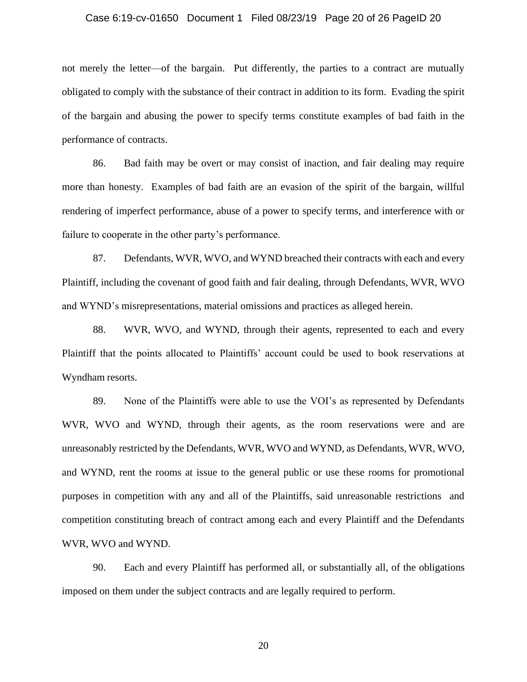#### Case 6:19-cv-01650 Document 1 Filed 08/23/19 Page 20 of 26 PageID 20

not merely the letter—of the bargain. Put differently, the parties to a contract are mutually obligated to comply with the substance of their contract in addition to its form. Evading the spirit of the bargain and abusing the power to specify terms constitute examples of bad faith in the performance of contracts.

86. Bad faith may be overt or may consist of inaction, and fair dealing may require more than honesty. Examples of bad faith are an evasion of the spirit of the bargain, willful rendering of imperfect performance, abuse of a power to specify terms, and interference with or failure to cooperate in the other party's performance.

87. Defendants, WVR, WVO, and WYND breached their contracts with each and every Plaintiff, including the covenant of good faith and fair dealing, through Defendants, WVR, WVO and WYND's misrepresentations, material omissions and practices as alleged herein.

88. WVR, WVO, and WYND, through their agents, represented to each and every Plaintiff that the points allocated to Plaintiffs' account could be used to book reservations at Wyndham resorts.

89. None of the Plaintiffs were able to use the VOI's as represented by Defendants WVR, WVO and WYND, through their agents, as the room reservations were and are unreasonably restricted by the Defendants, WVR, WVO and WYND, as Defendants, WVR, WVO, and WYND, rent the rooms at issue to the general public or use these rooms for promotional purposes in competition with any and all of the Plaintiffs, said unreasonable restrictions and competition constituting breach of contract among each and every Plaintiff and the Defendants WVR, WVO and WYND.

90. Each and every Plaintiff has performed all, or substantially all, of the obligations imposed on them under the subject contracts and are legally required to perform.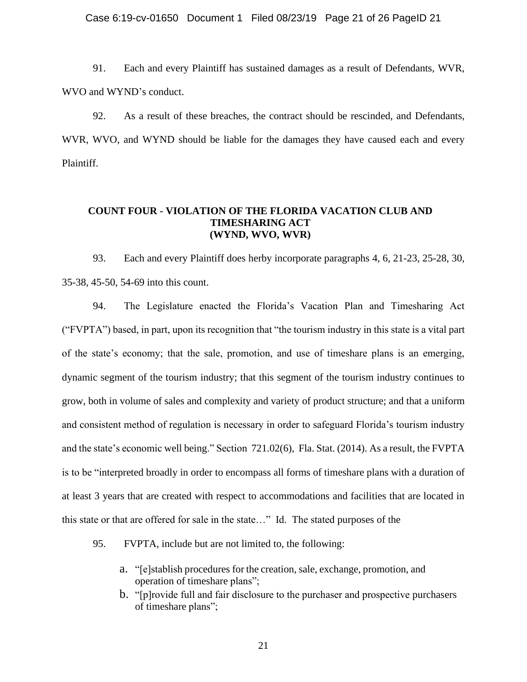Case 6:19-cv-01650 Document 1 Filed 08/23/19 Page 21 of 26 PageID 21

91. Each and every Plaintiff has sustained damages as a result of Defendants, WVR, WVO and WYND's conduct.

92. As a result of these breaches, the contract should be rescinded, and Defendants, WVR, WVO, and WYND should be liable for the damages they have caused each and every Plaintiff.

## **COUNT FOUR - VIOLATION OF THE FLORIDA VACATION CLUB AND TIMESHARING ACT (WYND, WVO, WVR)**

93. Each and every Plaintiff does herby incorporate paragraphs 4, 6, 21-23, 25-28, 30, 35-38, 45-50, 54-69 into this count.

94. The Legislature enacted the Florida's Vacation Plan and Timesharing Act ("FVPTA") based, in part, upon its recognition that "the tourism industry in this state is a vital part of the state's economy; that the sale, promotion, and use of timeshare plans is an emerging, dynamic segment of the tourism industry; that this segment of the tourism industry continues to grow, both in volume of sales and complexity and variety of product structure; and that a uniform and consistent method of regulation is necessary in order to safeguard Florida's tourism industry and the state's economic well being." Section 721.02(6), Fla. Stat. (2014). As a result, the FVPTA is to be "interpreted broadly in order to encompass all forms of timeshare plans with a duration of at least 3 years that are created with respect to accommodations and facilities that are located in this state or that are offered for sale in the state…" Id. The stated purposes of the

- 95. FVPTA, include but are not limited to, the following:
	- a. "[e]stablish procedures for the creation, sale, exchange, promotion, and operation of timeshare plans";
	- b. "[p]rovide full and fair disclosure to the purchaser and prospective purchasers of timeshare plans";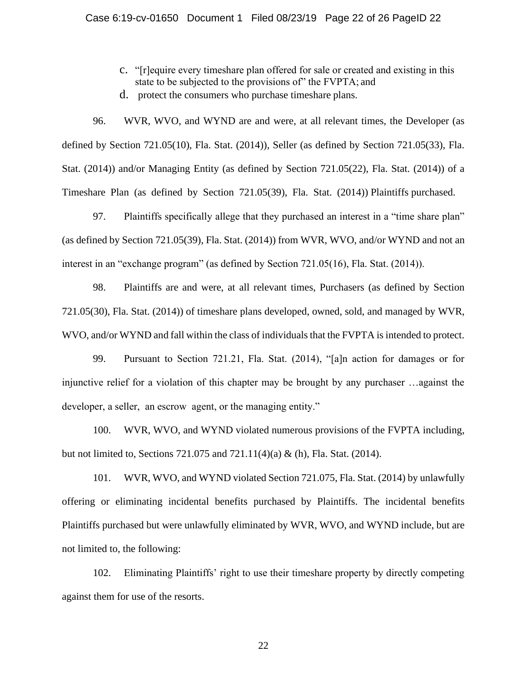- c. "[r]equire every timeshare plan offered for sale or created and existing in this state to be subjected to the provisions of" the FVPTA; and
- d. protect the consumers who purchase timeshare plans.

96. WVR, WVO, and WYND are and were, at all relevant times, the Developer (as defined by Section 721.05(10), Fla. Stat. (2014)), Seller (as defined by Section 721.05(33), Fla. Stat. (2014)) and/or Managing Entity (as defined by Section 721.05(22), Fla. Stat. (2014)) of a Timeshare Plan (as defined by Section 721.05(39), Fla. Stat. (2014)) Plaintiffs purchased.

97. Plaintiffs specifically allege that they purchased an interest in a "time share plan" (as defined by Section 721.05(39), Fla. Stat. (2014)) from WVR, WVO, and/or WYND and not an interest in an "exchange program" (as defined by Section 721.05(16), Fla. Stat. (2014)).

98. Plaintiffs are and were, at all relevant times, Purchasers (as defined by Section 721.05(30), Fla. Stat. (2014)) of timeshare plans developed, owned, sold, and managed by WVR, WVO, and/or WYND and fall within the class of individuals that the FVPTA is intended to protect.

99. Pursuant to Section 721.21, Fla. Stat. (2014), "[a]n action for damages or for injunctive relief for a violation of this chapter may be brought by any purchaser …against the developer, a seller, an escrow agent, or the managing entity."

100. WVR, WVO, and WYND violated numerous provisions of the FVPTA including, but not limited to, Sections 721.075 and 721.11(4)(a) & (h), Fla. Stat. (2014).

101. WVR, WVO, and WYND violated Section 721.075, Fla. Stat. (2014) by unlawfully offering or eliminating incidental benefits purchased by Plaintiffs. The incidental benefits Plaintiffs purchased but were unlawfully eliminated by WVR, WVO, and WYND include, but are not limited to, the following:

102. Eliminating Plaintiffs' right to use their timeshare property by directly competing against them for use of the resorts.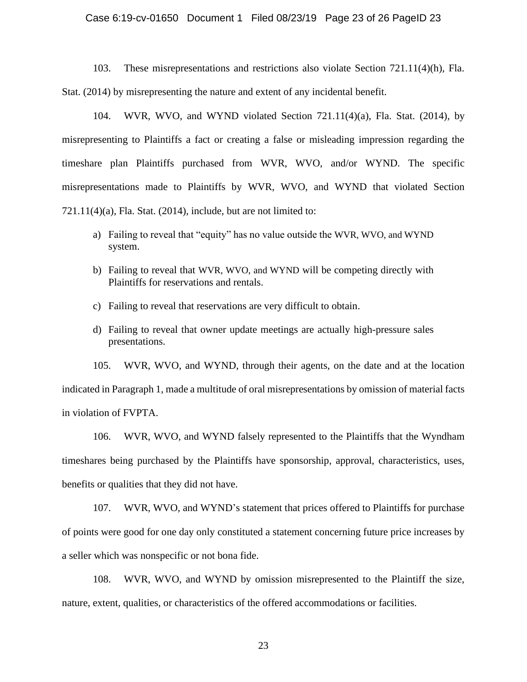#### Case 6:19-cv-01650 Document 1 Filed 08/23/19 Page 23 of 26 PageID 23

103. These misrepresentations and restrictions also violate Section 721.11(4)(h), Fla. Stat. (2014) by misrepresenting the nature and extent of any incidental benefit.

104. WVR, WVO, and WYND violated Section 721.11(4)(a), Fla. Stat. (2014), by misrepresenting to Plaintiffs a fact or creating a false or misleading impression regarding the timeshare plan Plaintiffs purchased from WVR, WVO, and/or WYND. The specific misrepresentations made to Plaintiffs by WVR, WVO, and WYND that violated Section  $721.11(4)(a)$ , Fla. Stat. (2014), include, but are not limited to:

- a) Failing to reveal that "equity" has no value outside the WVR, WVO, and WYND system.
- b) Failing to reveal that WVR, WVO, and WYND will be competing directly with Plaintiffs for reservations and rentals.
- c) Failing to reveal that reservations are very difficult to obtain.
- d) Failing to reveal that owner update meetings are actually high-pressure sales presentations.

105. WVR, WVO, and WYND, through their agents, on the date and at the location indicated in Paragraph 1, made a multitude of oral misrepresentations by omission of material facts in violation of FVPTA.

106. WVR, WVO, and WYND falsely represented to the Plaintiffs that the Wyndham timeshares being purchased by the Plaintiffs have sponsorship, approval, characteristics, uses, benefits or qualities that they did not have.

107. WVR, WVO, and WYND's statement that prices offered to Plaintiffs for purchase of points were good for one day only constituted a statement concerning future price increases by a seller which was nonspecific or not bona fide.

108. WVR, WVO, and WYND by omission misrepresented to the Plaintiff the size, nature, extent, qualities, or characteristics of the offered accommodations or facilities.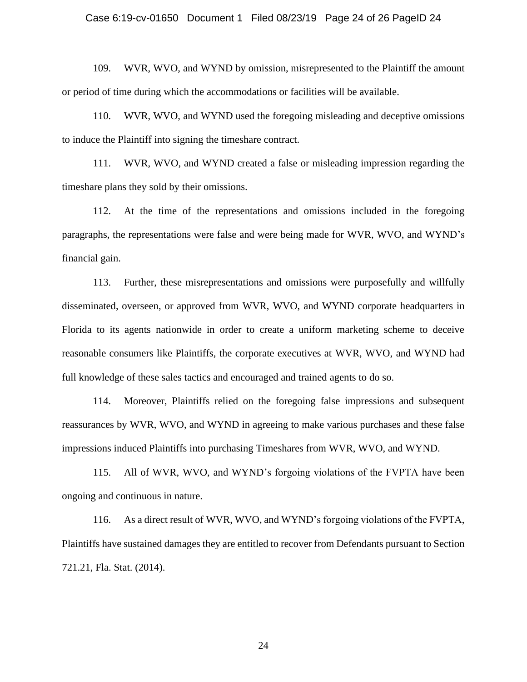#### Case 6:19-cv-01650 Document 1 Filed 08/23/19 Page 24 of 26 PageID 24

109. WVR, WVO, and WYND by omission, misrepresented to the Plaintiff the amount or period of time during which the accommodations or facilities will be available.

110. WVR, WVO, and WYND used the foregoing misleading and deceptive omissions to induce the Plaintiff into signing the timeshare contract.

111. WVR, WVO, and WYND created a false or misleading impression regarding the timeshare plans they sold by their omissions.

112. At the time of the representations and omissions included in the foregoing paragraphs, the representations were false and were being made for WVR, WVO, and WYND's financial gain.

113. Further, these misrepresentations and omissions were purposefully and willfully disseminated, overseen, or approved from WVR, WVO, and WYND corporate headquarters in Florida to its agents nationwide in order to create a uniform marketing scheme to deceive reasonable consumers like Plaintiffs, the corporate executives at WVR, WVO, and WYND had full knowledge of these sales tactics and encouraged and trained agents to do so.

114. Moreover, Plaintiffs relied on the foregoing false impressions and subsequent reassurances by WVR, WVO, and WYND in agreeing to make various purchases and these false impressions induced Plaintiffs into purchasing Timeshares from WVR, WVO, and WYND.

115. All of WVR, WVO, and WYND's forgoing violations of the FVPTA have been ongoing and continuous in nature.

116. As a direct result of WVR, WVO, and WYND's forgoing violations of the FVPTA, Plaintiffs have sustained damages they are entitled to recover from Defendants pursuant to Section 721.21, Fla. Stat. (2014).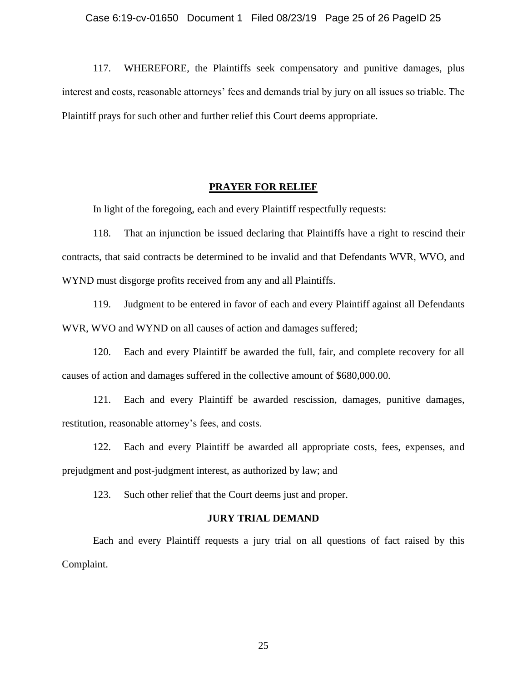117. WHEREFORE, the Plaintiffs seek compensatory and punitive damages, plus interest and costs, reasonable attorneys' fees and demands trial by jury on all issues so triable. The Plaintiff prays for such other and further relief this Court deems appropriate.

### **PRAYER FOR RELIEF**

In light of the foregoing, each and every Plaintiff respectfully requests:

118. That an injunction be issued declaring that Plaintiffs have a right to rescind their contracts, that said contracts be determined to be invalid and that Defendants WVR, WVO, and WYND must disgorge profits received from any and all Plaintiffs.

119. Judgment to be entered in favor of each and every Plaintiff against all Defendants WVR, WVO and WYND on all causes of action and damages suffered;

120. Each and every Plaintiff be awarded the full, fair, and complete recovery for all causes of action and damages suffered in the collective amount of \$680,000.00.

121. Each and every Plaintiff be awarded rescission, damages, punitive damages, restitution, reasonable attorney's fees, and costs.

122. Each and every Plaintiff be awarded all appropriate costs, fees, expenses, and prejudgment and post-judgment interest, as authorized by law; and

123. Such other relief that the Court deems just and proper.

### **JURY TRIAL DEMAND**

Each and every Plaintiff requests a jury trial on all questions of fact raised by this Complaint.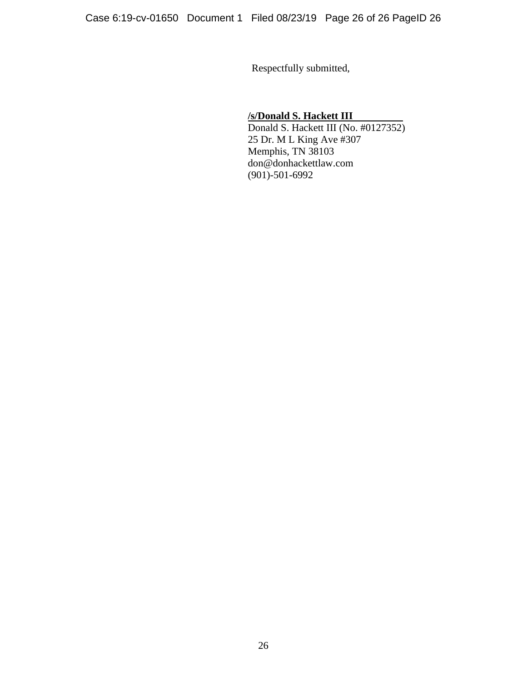Respectfully submitted,

## **/s/Donald S. Hackett III**

Donald S. Hackett III (No. #0127352) 25 Dr. M L King Ave #307 Memphis, TN 38103 don@donhackettlaw.com (901)-501-6992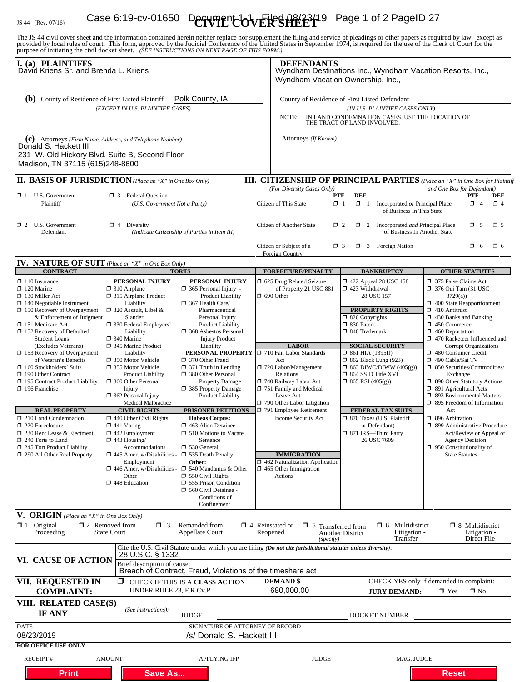# IS 44 (Rev. 07/16) **Case 6:19-cv-01650** Decrypted to the state of 2 Page 1 of 2 PageID 27

The JS 44 civil cover sheet and the information contained herein neither replace nor supplement the filing and service of pleadings or other papers as required by law, except as provided by local rules of court. This form,

| I. (a) PLAINTIFFS<br>David Kriens Sr. and Brenda L. Kriens                                                                                                                                                                                                                                                                                                                                                                                                                                                                                                                                                                                                     |                                                                                                                                                                                                                                                                                                                                                                                                                                                                                                                                                                                                                                         |                                                                                                                                                                                                                                                                                                                                                                                                                                                                                                                                                                                                                                                                                                                                                      |                                    | <b>DEFENDANTS</b><br>Wyndham Destinations Inc., Wyndham Vacation Resorts, Inc.,<br>Wyndham Vacation Ownership, Inc.,                                                                                                                                                                                                                                                                                  |                                                                                                                                                                                                                                                                                                                                                                                                                                            |                                                                                                                                                                                                                                                                                                                                                                                                                                                                                                                                                                                                                                                                          |
|----------------------------------------------------------------------------------------------------------------------------------------------------------------------------------------------------------------------------------------------------------------------------------------------------------------------------------------------------------------------------------------------------------------------------------------------------------------------------------------------------------------------------------------------------------------------------------------------------------------------------------------------------------------|-----------------------------------------------------------------------------------------------------------------------------------------------------------------------------------------------------------------------------------------------------------------------------------------------------------------------------------------------------------------------------------------------------------------------------------------------------------------------------------------------------------------------------------------------------------------------------------------------------------------------------------------|------------------------------------------------------------------------------------------------------------------------------------------------------------------------------------------------------------------------------------------------------------------------------------------------------------------------------------------------------------------------------------------------------------------------------------------------------------------------------------------------------------------------------------------------------------------------------------------------------------------------------------------------------------------------------------------------------------------------------------------------------|------------------------------------|-------------------------------------------------------------------------------------------------------------------------------------------------------------------------------------------------------------------------------------------------------------------------------------------------------------------------------------------------------------------------------------------------------|--------------------------------------------------------------------------------------------------------------------------------------------------------------------------------------------------------------------------------------------------------------------------------------------------------------------------------------------------------------------------------------------------------------------------------------------|--------------------------------------------------------------------------------------------------------------------------------------------------------------------------------------------------------------------------------------------------------------------------------------------------------------------------------------------------------------------------------------------------------------------------------------------------------------------------------------------------------------------------------------------------------------------------------------------------------------------------------------------------------------------------|
| <b>(b)</b> County of Residence of First Listed Plaintiff<br>Polk County, IA<br>(EXCEPT IN U.S. PLAINTIFF CASES)                                                                                                                                                                                                                                                                                                                                                                                                                                                                                                                                                |                                                                                                                                                                                                                                                                                                                                                                                                                                                                                                                                                                                                                                         |                                                                                                                                                                                                                                                                                                                                                                                                                                                                                                                                                                                                                                                                                                                                                      |                                    | County of Residence of First Listed Defendant<br>(IN U.S. PLAINTIFF CASES ONLY)<br>IN LAND CONDEMNATION CASES, USE THE LOCATION OF<br>NOTE:<br>THE TRACT OF LAND INVOLVED.                                                                                                                                                                                                                            |                                                                                                                                                                                                                                                                                                                                                                                                                                            |                                                                                                                                                                                                                                                                                                                                                                                                                                                                                                                                                                                                                                                                          |
| (C) Attorneys (Firm Name, Address, and Telephone Number)<br>Donald S. Hackett III<br>231 W. Old Hickory Blvd. Suite B, Second Floor<br>Madison, TN 37115 (615)248-8600                                                                                                                                                                                                                                                                                                                                                                                                                                                                                         |                                                                                                                                                                                                                                                                                                                                                                                                                                                                                                                                                                                                                                         |                                                                                                                                                                                                                                                                                                                                                                                                                                                                                                                                                                                                                                                                                                                                                      |                                    | Attorneys (If Known)                                                                                                                                                                                                                                                                                                                                                                                  |                                                                                                                                                                                                                                                                                                                                                                                                                                            |                                                                                                                                                                                                                                                                                                                                                                                                                                                                                                                                                                                                                                                                          |
| <b>II. BASIS OF JURISDICTION</b> (Place an "X" in One Box Only)                                                                                                                                                                                                                                                                                                                                                                                                                                                                                                                                                                                                |                                                                                                                                                                                                                                                                                                                                                                                                                                                                                                                                                                                                                                         |                                                                                                                                                                                                                                                                                                                                                                                                                                                                                                                                                                                                                                                                                                                                                      |                                    |                                                                                                                                                                                                                                                                                                                                                                                                       |                                                                                                                                                                                                                                                                                                                                                                                                                                            | <b>III. CITIZENSHIP OF PRINCIPAL PARTIES</b> (Place an "X" in One Box for Plaintiff                                                                                                                                                                                                                                                                                                                                                                                                                                                                                                                                                                                      |
| $\Box$ 1 U.S. Government<br>Plaintiff                                                                                                                                                                                                                                                                                                                                                                                                                                                                                                                                                                                                                          | <b>3</b> Federal Question<br>(U.S. Government Not a Party)                                                                                                                                                                                                                                                                                                                                                                                                                                                                                                                                                                              |                                                                                                                                                                                                                                                                                                                                                                                                                                                                                                                                                                                                                                                                                                                                                      |                                    | (For Diversity Cases Only)<br>and One Box for Defendant)<br>DEF<br><b>PTF</b><br>PTF<br>DEF<br>Citizen of This State<br>$\Box$ 1<br>$\Box$ 1<br>Incorporated or Principal Place<br>$\Box$ 4<br>$\Box$ 4<br>of Business In This State                                                                                                                                                                  |                                                                                                                                                                                                                                                                                                                                                                                                                                            |                                                                                                                                                                                                                                                                                                                                                                                                                                                                                                                                                                                                                                                                          |
| $\Box$ 2 U.S. Government<br>Defendant                                                                                                                                                                                                                                                                                                                                                                                                                                                                                                                                                                                                                          | $\mathbf{\Sigma}$ 4 Diversity<br>(Indicate Citizenship of Parties in Item III)                                                                                                                                                                                                                                                                                                                                                                                                                                                                                                                                                          |                                                                                                                                                                                                                                                                                                                                                                                                                                                                                                                                                                                                                                                                                                                                                      |                                    | <b>Citizen of Another State</b><br>Citizen or Subject of a                                                                                                                                                                                                                                                                                                                                            | $\mathbf{\times} 2$<br>$\Box$ 2 Incorporated <i>and</i> Principal Place<br>of Business In Another State<br><b>3</b> Foreign Nation<br>$\Box$ 3                                                                                                                                                                                                                                                                                             | ≵ে 5<br>$\Box$ 5<br>$\Box$ 6<br>O 6                                                                                                                                                                                                                                                                                                                                                                                                                                                                                                                                                                                                                                      |
|                                                                                                                                                                                                                                                                                                                                                                                                                                                                                                                                                                                                                                                                |                                                                                                                                                                                                                                                                                                                                                                                                                                                                                                                                                                                                                                         |                                                                                                                                                                                                                                                                                                                                                                                                                                                                                                                                                                                                                                                                                                                                                      |                                    | Foreign Country                                                                                                                                                                                                                                                                                                                                                                                       |                                                                                                                                                                                                                                                                                                                                                                                                                                            |                                                                                                                                                                                                                                                                                                                                                                                                                                                                                                                                                                                                                                                                          |
| <b>IV. NATURE OF SUIT</b> (Place an "X" in One Box Only)<br><b>CONTRACT</b>                                                                                                                                                                                                                                                                                                                                                                                                                                                                                                                                                                                    |                                                                                                                                                                                                                                                                                                                                                                                                                                                                                                                                                                                                                                         | <b>TORTS</b>                                                                                                                                                                                                                                                                                                                                                                                                                                                                                                                                                                                                                                                                                                                                         |                                    | <b>FORFEITURE/PENALTY</b>                                                                                                                                                                                                                                                                                                                                                                             | <b>BANKRUPTCY</b>                                                                                                                                                                                                                                                                                                                                                                                                                          | <b>OTHER STATUTES</b>                                                                                                                                                                                                                                                                                                                                                                                                                                                                                                                                                                                                                                                    |
| $\Box$ 110 Insurance<br>$\Box$ 120 Marine<br>$\Box$ 130 Miller Act<br>$\Box$ 140 Negotiable Instrument<br>150 Recovery of Overpayment<br>& Enforcement of Judgment<br>□ 151 Medicare Act<br>152 Recovery of Defaulted<br><b>Student Loans</b><br>(Excludes Veterans)<br>□ 153 Recovery of Overpayment<br>of Veteran's Benefits<br>$\Box$ 160 Stockholders' Suits<br>X 190 Other Contract<br>195 Contract Product Liability<br>$\Box$ 196 Franchise<br><b>REAL PROPERTY</b><br>210 Land Condemnation<br>$\Box$ 220 Foreclosure<br>$\Box$ 230 Rent Lease & Ejectment<br>$\square$ 240 Torts to Land<br>245 Tort Product Liability<br>290 All Other Real Property | PERSONAL INJURY<br>$\Box$ 310 Airplane<br>$\Box$ 315 Airplane Product<br>Liability<br>$\Box$ 320 Assault, Libel &<br>Slander<br>□ 330 Federal Employers'<br>Liability<br>340 Marine<br>345 Marine Product<br>Liability<br>□ 350 Motor Vehicle<br>□ 355 Motor Vehicle<br><b>Product Liability</b><br>360 Other Personal<br>Injury<br>□ 362 Personal Injury -<br>Medical Malpractice<br><b>CIVIL RIGHTS</b><br>$\Box$ 440 Other Civil Rights<br>$\Box$ 441 Voting<br>$\Box$ 442 Employment<br>$\Box$ 443 Housing/<br>Accommodations<br>445 Amer. w/Disabilities<br>Employment<br>□ 446 Amer. w/Disabilities -<br>Other<br>□ 448 Education | PERSONAL INJURY<br>$\Box$ 365 Personal Injury -<br><b>Product Liability</b><br>367 Health Care/<br>Pharmaceutical<br>Personal Injury<br><b>Product Liability</b><br>368 Asbestos Personal<br><b>Injury Product</b><br>Liability<br>PERSONAL PROPERTY □ 710 Fair Labor Standards<br>370 Other Fraud<br>$\Box$ 371 Truth in Lending<br>380 Other Personal<br><b>Property Damage</b><br>385 Property Damage<br><b>Product Liability</b><br>PRISONER PETITIONS<br><b>Habeas Corpus:</b><br>$\Box$ 463 Alien Detainee<br>$\Box$ 510 Motions to Vacate<br>Sentence<br>530 General<br>535 Death Penalty<br>Other:<br>$\Box$ 540 Mandamus & Other<br>$\Box$ 550 Civil Rights<br>555 Prison Condition<br>560 Civil Detainee -<br>Conditions of<br>Confinement |                                    | 5 625 Drug Related Seizure<br>of Property 21 USC 881<br>$\Box$ 690 Other<br><b>LABOR</b><br>Act<br>$\Box$ 720 Labor/Management<br>Relations<br>740 Railway Labor Act<br>751 Family and Medical<br>Leave Act<br>790 Other Labor Litigation<br>791 Employee Retirement<br>Income Security Act<br><b>IMMIGRATION</b><br>$\Box$ 462 Naturalization Application<br>$\Box$ 465 Other Immigration<br>Actions | 158 122 Appeal 28 USC 158<br>$\Box$ 423 Withdrawal<br>28 USC 157<br><b>PROPERTY RIGHTS</b><br>$\Box$ 820 Copyrights<br>30 Patent<br>□ 840 Trademark<br><b>SOCIAL SECURITY</b><br>$\Box$ 861 HIA (1395ff)<br><b>1 862 Black Lung (923)</b><br>$\Box$ 863 DIWC/DIWW (405(g))<br>□ 864 SSID Title XVI<br>$\Box$ 865 RSI (405(g))<br>FEDERAL TAX SUITS<br>□ 870 Taxes (U.S. Plaintiff<br>or Defendant)<br>□ 871 IRS-Third Party<br>26 USC 7609 | 375 False Claims Act<br>$\Box$ 376 Qui Tam (31 USC<br>3729(a)<br>400 State Reapportionment<br>$\Box$ 410 Antitrust<br>$\Box$ 430 Banks and Banking<br>$\Box$ 450 Commerce<br>$\Box$ 460 Deportation<br>470 Racketeer Influenced and<br>Corrupt Organizations<br>480 Consumer Credit<br>490 Cable/Sat TV<br>$\Box$ 850 Securities/Commodities/<br>Exchange<br>1 890 Other Statutory Actions<br>□ 891 Agricultural Acts<br>□ 893 Environmental Matters<br>□ 895 Freedom of Information<br>Act<br>$\Box$ 896 Arbitration<br>□ 899 Administrative Procedure<br>Act/Review or Appeal of<br><b>Agency Decision</b><br>$\Box$ 950 Constitutionality of<br><b>State Statutes</b> |
| V. ORIGIN (Place an "X" in One Box Only)<br>$\mathbf{X}$ 1 Original<br>Proceeding                                                                                                                                                                                                                                                                                                                                                                                                                                                                                                                                                                              | $\square$ 2 Removed from<br>$\Box$ 3<br><b>State Court</b>                                                                                                                                                                                                                                                                                                                                                                                                                                                                                                                                                                              | Remanded from<br><b>Appellate Court</b>                                                                                                                                                                                                                                                                                                                                                                                                                                                                                                                                                                                                                                                                                                              | $\Box$ 4 Reinstated or<br>Reopened | $\Box$ 5 Transferred from<br>(specify)                                                                                                                                                                                                                                                                                                                                                                | $\Box$ 6 Multidistrict<br>Litigation -<br>Another District<br>Transfer                                                                                                                                                                                                                                                                                                                                                                     | $\Box$ 8 Multidistrict<br>Litigation -<br>Direct File                                                                                                                                                                                                                                                                                                                                                                                                                                                                                                                                                                                                                    |
| VI. CAUSE OF ACTION                                                                                                                                                                                                                                                                                                                                                                                                                                                                                                                                                                                                                                            | 28 U.S.C. § 1332<br>Brief description of cause:                                                                                                                                                                                                                                                                                                                                                                                                                                                                                                                                                                                         | Breach of Contract, Fraud, Violations of the timeshare act                                                                                                                                                                                                                                                                                                                                                                                                                                                                                                                                                                                                                                                                                           |                                    | Cite the U.S. Civil Statute under which you are filing (Do not cite jurisdictional statutes unless diversity):                                                                                                                                                                                                                                                                                        |                                                                                                                                                                                                                                                                                                                                                                                                                                            |                                                                                                                                                                                                                                                                                                                                                                                                                                                                                                                                                                                                                                                                          |
| VII. REQUESTED IN<br><b>COMPLAINT:</b>                                                                                                                                                                                                                                                                                                                                                                                                                                                                                                                                                                                                                         | ο.<br>UNDER RULE 23, F.R.Cv.P.                                                                                                                                                                                                                                                                                                                                                                                                                                                                                                                                                                                                          | CHECK IF THIS IS A CLASS ACTION                                                                                                                                                                                                                                                                                                                                                                                                                                                                                                                                                                                                                                                                                                                      |                                    | <b>DEMAND</b> \$<br>680,000.00                                                                                                                                                                                                                                                                                                                                                                        | <b>JURY DEMAND:</b>                                                                                                                                                                                                                                                                                                                                                                                                                        | CHECK YES only if demanded in complaint:<br><b>X</b> Yes<br>$\square$ No                                                                                                                                                                                                                                                                                                                                                                                                                                                                                                                                                                                                 |
| VIII. RELATED CASE(S)<br>IF ANY                                                                                                                                                                                                                                                                                                                                                                                                                                                                                                                                                                                                                                | (See instructions):                                                                                                                                                                                                                                                                                                                                                                                                                                                                                                                                                                                                                     | JUDGE                                                                                                                                                                                                                                                                                                                                                                                                                                                                                                                                                                                                                                                                                                                                                |                                    |                                                                                                                                                                                                                                                                                                                                                                                                       | DOCKET NUMBER                                                                                                                                                                                                                                                                                                                                                                                                                              |                                                                                                                                                                                                                                                                                                                                                                                                                                                                                                                                                                                                                                                                          |
| <b>DATE</b><br>08/23/2019                                                                                                                                                                                                                                                                                                                                                                                                                                                                                                                                                                                                                                      |                                                                                                                                                                                                                                                                                                                                                                                                                                                                                                                                                                                                                                         | SIGNATURE OF ATTORNEY OF RECORD<br>/s/ Donald S. Hackett III                                                                                                                                                                                                                                                                                                                                                                                                                                                                                                                                                                                                                                                                                         |                                    |                                                                                                                                                                                                                                                                                                                                                                                                       |                                                                                                                                                                                                                                                                                                                                                                                                                                            |                                                                                                                                                                                                                                                                                                                                                                                                                                                                                                                                                                                                                                                                          |
| <b>FOR OFFICE USE ONLY</b><br><b>RECEIPT#</b>                                                                                                                                                                                                                                                                                                                                                                                                                                                                                                                                                                                                                  | <b>AMOUNT</b>                                                                                                                                                                                                                                                                                                                                                                                                                                                                                                                                                                                                                           | <b>APPLYING IFP</b>                                                                                                                                                                                                                                                                                                                                                                                                                                                                                                                                                                                                                                                                                                                                  |                                    | <b>JUDGE</b>                                                                                                                                                                                                                                                                                                                                                                                          | MAG. JUDGE                                                                                                                                                                                                                                                                                                                                                                                                                                 |                                                                                                                                                                                                                                                                                                                                                                                                                                                                                                                                                                                                                                                                          |
| <b>Print</b>                                                                                                                                                                                                                                                                                                                                                                                                                                                                                                                                                                                                                                                   | <b>Save As</b>                                                                                                                                                                                                                                                                                                                                                                                                                                                                                                                                                                                                                          |                                                                                                                                                                                                                                                                                                                                                                                                                                                                                                                                                                                                                                                                                                                                                      |                                    |                                                                                                                                                                                                                                                                                                                                                                                                       |                                                                                                                                                                                                                                                                                                                                                                                                                                            | <b>Reset</b>                                                                                                                                                                                                                                                                                                                                                                                                                                                                                                                                                                                                                                                             |